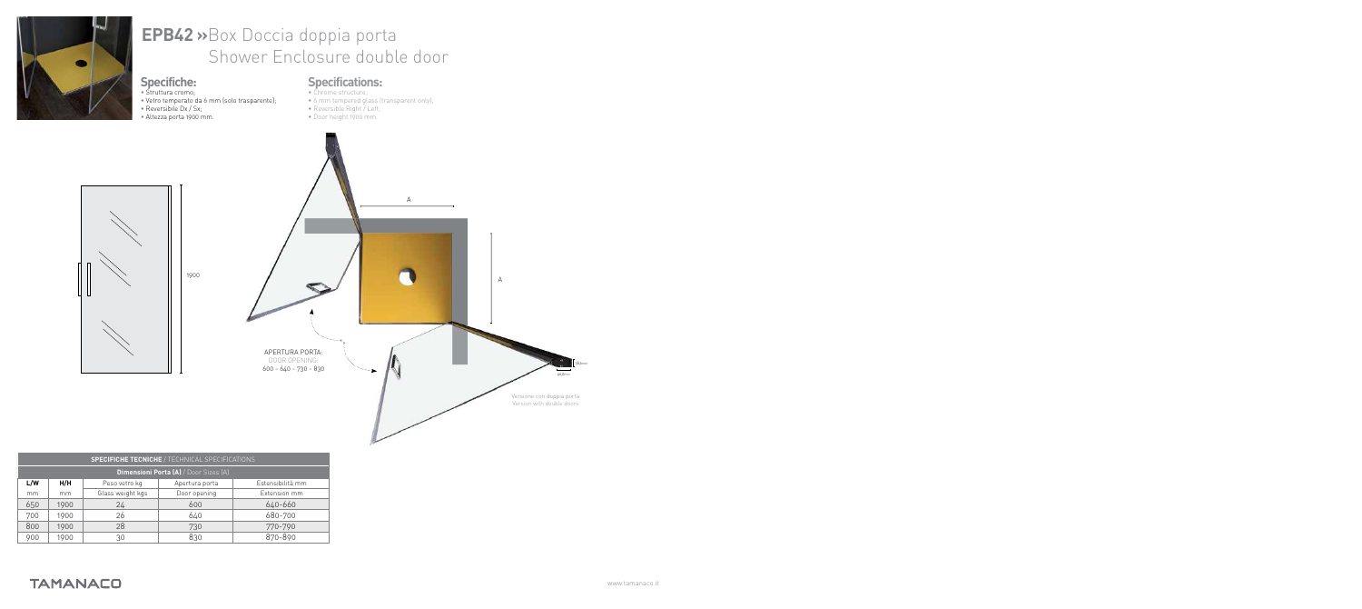

| <b>SPECIFICHE TECNICHE / TECHNICAL SPECIFICATIONS</b> |      |                  |                |                  |  |  |
|-------------------------------------------------------|------|------------------|----------------|------------------|--|--|
| <b>Dimensioni Porta (A)</b> / Door Sizes (A)          |      |                  |                |                  |  |  |
| L/W                                                   | H/H  | Peso vetro kg    | Apertura porta | Estensibilità mm |  |  |
| mm                                                    | mm   | Glass weight kgs | Door opening   | Extension mm     |  |  |
| 650                                                   | 1900 | 24               | 600            | 640-660          |  |  |
| 700                                                   | 1900 | 26               | 640            | 680-700          |  |  |
| 800                                                   | 1900 | 28               | 730            | 770-790          |  |  |
| 900                                                   | 1900 | 30               | 830            | 870-890          |  |  |

**TAMANACO**